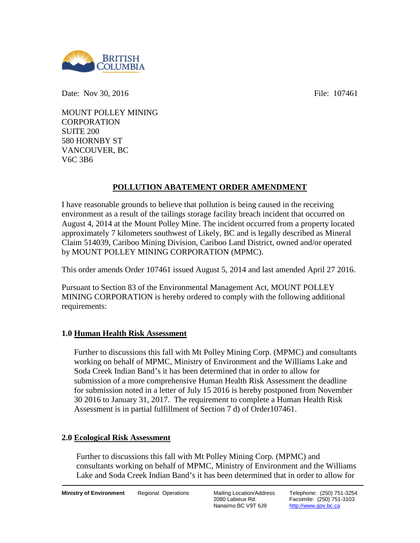

Date: Nov 30, 2016 **File:** 107461

MOUNT POLLEY MINING **CORPORATION** SUITE 200 580 HORNBY ST VANCOUVER, BC V6C 3B6

# **POLLUTION ABATEMENT ORDER AMENDMENT**

I have reasonable grounds to believe that pollution is being caused in the receiving environment as a result of the tailings storage facility breach incident that occurred on August 4, 2014 at the Mount Polley Mine. The incident occurred from a property located approximately 7 kilometers southwest of Likely, BC and is legally described as Mineral Claim 514039, Cariboo Mining Division, Cariboo Land District, owned and/or operated by MOUNT POLLEY MINING CORPORATION (MPMC).

This order amends Order 107461 issued August 5, 2014 and last amended April 27 2016.

Pursuant to Section 83 of the Environmental Management Act, MOUNT POLLEY MINING CORPORATION is hereby ordered to comply with the following additional requirements:

# **1.0 Human Health Risk Assessment**

Further to discussions this fall with Mt Polley Mining Corp. (MPMC) and consultants working on behalf of MPMC, Ministry of Environment and the Williams Lake and Soda Creek Indian Band's it has been determined that in order to allow for submission of a more comprehensive Human Health Risk Assessment the deadline for submission noted in a letter of July 15 2016 is hereby postponed from November 30 2016 to January 31, 2017. The requirement to complete a Human Health Risk Assessment is in partial fulfillment of Section 7 d) of Order107461.

# **2.0 Ecological Risk Assessment**

Further to discussions this fall with Mt Polley Mining Corp. (MPMC) and consultants working on behalf of MPMC, Ministry of Environment and the Williams Lake and Soda Creek Indian Band's it has been determined that in order to allow for

2080 Labieux Rd. Nanaimo BC V9T 6J9

Telephone: (250) 751-3254 Facsimile: (250) 751-3103 [http://www.gov.bc.ca](http://www.gov.bc.ca/)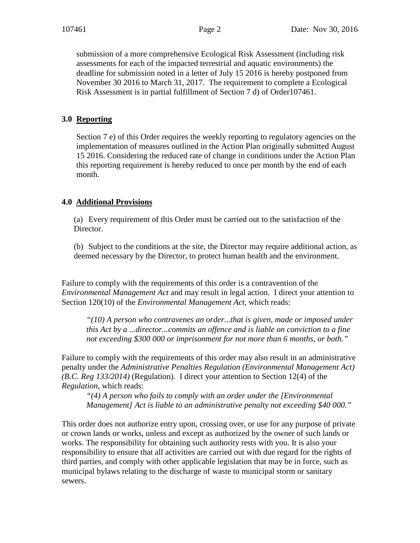submission of a more comprehensive Ecological Risk Assessment (including risk assessments for each of the impacted terrestrial and aquatic environments) the deadline for submission noted in a letter of July 15 2016 is hereby postponed from November 30 2016 to March 31, 2017. The requirement to complete a Ecological Risk Assessment is in partial fulfillment of Section 7 d) of Order107461.

### **3.0 Reporting**

Section 7 e) of this Order requires the weekly reporting to regulatory agencies on the implementation of measures outlined in the Action Plan originally submitted August 15 2016. Considering the reduced rate of change in conditions under the Action Plan this reporting requirement is hereby reduced to once per month by the end of each month.

### **4.0 Additional Provisions**

(a) Every requirement of this Order must be carried out to the satisfaction of the Director.

(b) Subject to the conditions at the site, the Director may require additional action, as deemed necessary by the Director, to protect human health and the environment.

Failure to comply with the requirements of this order is a contravention of the *Environmental Management Act* and may result in legal action. I direct your attention to Section 120(10) of the *Environmental Management Act*, which reads:

*"(10) A person who contravenes an order...that is given, made or imposed under this Act by a ...director...commits an offence and is liable on conviction to a fine not exceeding \$300 000 or imprisonment for not more than 6 months, or both."*

Failure to comply with the requirements of this order may also result in an administrative penalty under the *Administrative Penalties Regulation (Environmental Management Act) (B.C. Reg 133/2014)* (Regulation). I direct your attention to Section 12(4) of the *Regulation*, which reads:

*"(4) A person who fails to comply with an order under the [Environmental Management] Act is liable to an administrative penalty not exceeding \$40 000."* 

This order does not authorize entry upon, crossing over, or use for any purpose of private or crown lands or works, unless and except as authorized by the owner of such lands or works. The responsibility for obtaining such authority rests with you. It is also your responsibility to ensure that all activities are carried out with due regard for the rights of third parties, and comply with other applicable legislation that may be in force, such as municipal bylaws relating to the discharge of waste to municipal storm or sanitary sewers.